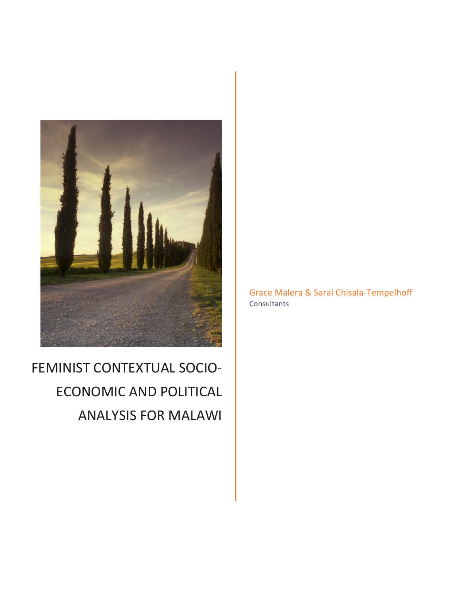

# FEMINIST CONTEXTUAL SOCIO-ECONOMIC AND POLITICAL ANALYSIS FOR MALAWI

Grace Malera & Sarai Chisala-Tempelhoff **Consultants**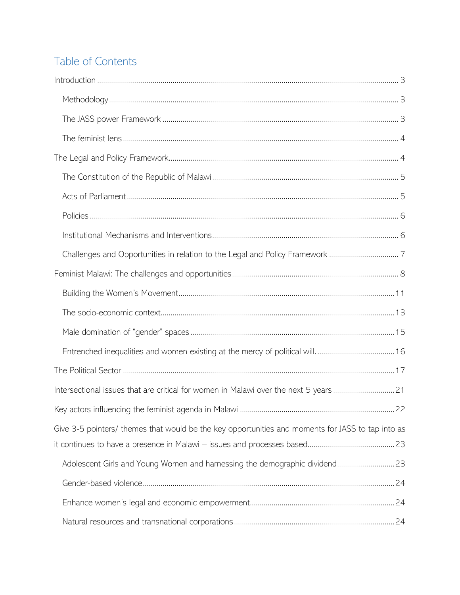# Table of Contents

| Intersectional issues that are critical for women in Malawi over the next 5 years21               |  |
|---------------------------------------------------------------------------------------------------|--|
|                                                                                                   |  |
| Give 3-5 pointers/ themes that would be the key opportunities and moments for JASS to tap into as |  |
|                                                                                                   |  |
|                                                                                                   |  |
|                                                                                                   |  |
|                                                                                                   |  |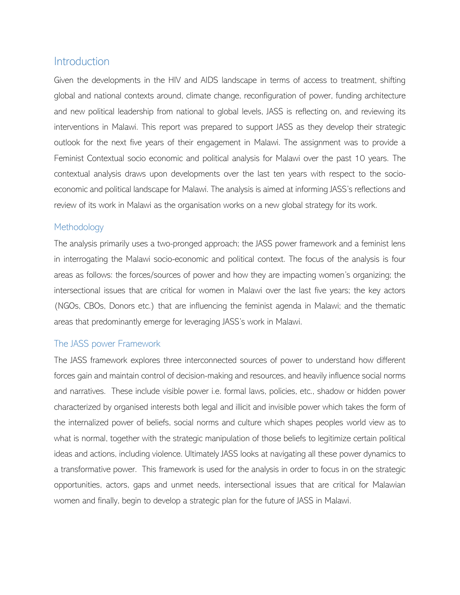# <span id="page-3-0"></span>Introduction

Given the developments in the HIV and AIDS landscape in terms of access to treatment, shifting global and national contexts around, climate change, reconfiguration of power, funding architecture and new political leadership from national to global levels, JASS is reflecting on, and reviewing its interventions in Malawi. This report was prepared to support JASS as they develop their strategic outlook for the next five years of their engagement in Malawi. The assignment was to provide a Feminist Contextual socio economic and political analysis for Malawi over the past 10 years. The contextual analysis draws upon developments over the last ten years with respect to the socioeconomic and political landscape for Malawi. The analysis is aimed at informing JASS's reflections and review of its work in Malawi as the organisation works on a new global strategy for its work.

#### <span id="page-3-1"></span>**Methodology**

The analysis primarily uses a two-pronged approach; the JASS power framework and a feminist lens in interrogating the Malawi socio-economic and political context. The focus of the analysis is four areas as follows: the forces/sources of power and how they are impacting women's organizing; the intersectional issues that are critical for women in Malawi over the last five years; the key actors (NGOs, CBOs, Donors etc.) that are influencing the feminist agenda in Malawi; and the thematic areas that predominantly emerge for leveraging JASS's work in Malawi.

## <span id="page-3-2"></span>The JASS power Framework

The JASS framework explores three interconnected sources of power to understand how different forces gain and maintain control of decision-making and resources, and heavily influence social norms and narratives. These include visible power i.e. formal laws, policies, etc., shadow or hidden power characterized by organised interests both legal and illicit and invisible power which takes the form of the internalized power of beliefs, social norms and culture which shapes peoples world view as to what is normal, together with the strategic manipulation of those beliefs to legitimize certain political ideas and actions, including violence. Ultimately JASS looks at navigating all these power dynamics to a transformative power. This framework is used for the analysis in order to focus in on the strategic opportunities, actors, gaps and unmet needs, intersectional issues that are critical for Malawian women and finally, begin to develop a strategic plan for the future of JASS in Malawi.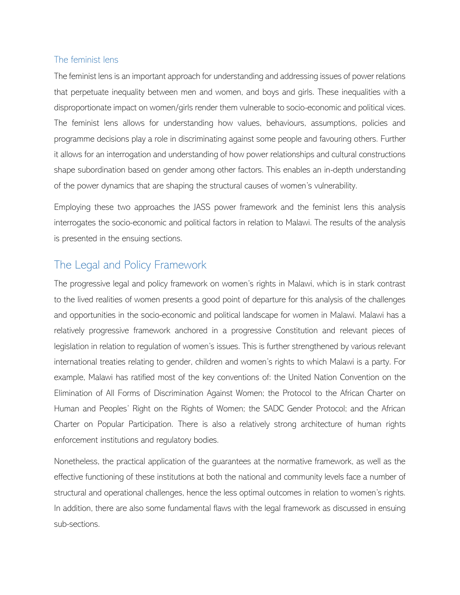#### <span id="page-4-0"></span>The feminist lens

The feminist lens is an important approach for understanding and addressing issues of power relations that perpetuate inequality between men and women, and boys and girls. These inequalities with a disproportionate impact on women/girls render them vulnerable to socio-economic and political vices. The feminist lens allows for understanding how values, behaviours, assumptions, policies and programme decisions play a role in discriminating against some people and favouring others. Further it allows for an interrogation and understanding of how power relationships and cultural constructions shape subordination based on gender among other factors. This enables an in-depth understanding of the power dynamics that are shaping the structural causes of women's vulnerability.

Employing these two approaches the JASS power framework and the feminist lens this analysis interrogates the socio-economic and political factors in relation to Malawi. The results of the analysis is presented in the ensuing sections.

# <span id="page-4-1"></span>The Legal and Policy Framework

The progressive legal and policy framework on women's rights in Malawi, which is in stark contrast to the lived realities of women presents a good point of departure for this analysis of the challenges and opportunities in the socio-economic and political landscape for women in Malawi. Malawi has a relatively progressive framework anchored in a progressive Constitution and relevant pieces of legislation in relation to regulation of women's issues. This is further strengthened by various relevant international treaties relating to gender, children and women's rights to which Malawi is a party. For example, Malawi has ratified most of the key conventions of: the United Nation Convention on the Elimination of All Forms of Discrimination Against Women; the Protocol to the African Charter on Human and Peoples' Right on the Rights of Women; the SADC Gender Protocol; and the African Charter on Popular Participation. There is also a relatively strong architecture of human rights enforcement institutions and regulatory bodies.

Nonetheless, the practical application of the guarantees at the normative framework, as well as the effective functioning of these institutions at both the national and community levels face a number of structural and operational challenges, hence the less optimal outcomes in relation to women's rights. In addition, there are also some fundamental flaws with the legal framework as discussed in ensuing sub-sections.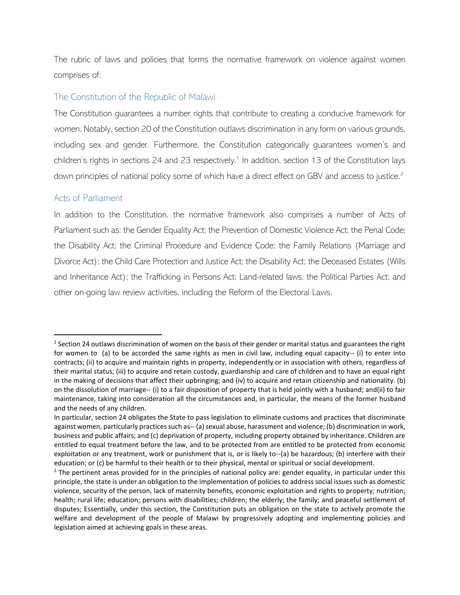The rubric of laws and policies that forms the normative framework on violence against women comprises of:

#### <span id="page-5-0"></span>The Constitution of the Republic of Malawi

The Constitution guarantees a number rights that contribute to creating a conducive framework for women. Notably, section 20 of the Constitution outlaws discrimination in any form on various grounds, including sex and gender. Furthermore, the Constitution categorically guarantees women's and children's rights in sections 24 and 23 respectively.<sup>1</sup> In addition, section 13 of the Constitution lays down principles of national policy some of which have a direct effect on GBV and access to justice.<sup>2</sup>

#### <span id="page-5-1"></span>Acts of Parliament

 $\overline{a}$ 

In addition to the Constitution, the normative framework also comprises a number of Acts of Parliament such as: the Gender Equality Act; the Prevention of Domestic Violence Act; the Penal Code; the Disability Act; the Criminal Procedure and Evidence Code; the Family Relations (Marriage and Divorce Act); the Child Care Protection and Justice Act; the Disability Act; the Deceased Estates (Wills and Inheritance Act); the Trafficking in Persons Act; Land-related laws; the Political Parties Act; and other on-going law review activities, including the Reform of the Electoral Laws.

 $1$  Section 24 outlaws discrimination of women on the basis of their gender or marital status and guarantees the right for women to (a) to be accorded the same rights as men in civil law, including equal capacity-- (i) to enter into contracts; (ii) to acquire and maintain rights in property, independently or in association with others, regardless of their marital status; (iii) to acquire and retain custody, guardianship and care of children and to have an equal right in the making of decisions that affect their upbringing; and (iv) to acquire and retain citizenship and nationality. (b) on the dissolution of marriage-- (i) to a fair disposition of property that is held jointly with a husband; and(ii) to fair maintenance, taking into consideration all the circumstances and, in particular, the means of the former husband and the needs of any children.

In particular, section 24 obligates the State to pass legislation to eliminate customs and practices that discriminate against women, particularly practices such as-- (a) sexual abuse, harassment and violence; (b) discrimination in work, business and public affairs; and (c) deprivation of property, including property obtained by inheritance. Children are entitled to equal treatment before the law, and to be protected from are entitled to be protected from economic exploitation or any treatment, work or punishment that is, or is likely to--(a) be hazardous; (b) interfere with their education; or (c) be harmful to their health or to their physical, mental or spiritual or social development.

 $<sup>2</sup>$  The pertinent areas provided for in the principles of national policy are: gender equality, in particular under this</sup> principle, the state is under an obligation to the implementation of policies to address social issues such as domestic violence, security of the person, lack of maternity benefits, economic exploitation and rights to property; nutrition; health; rural life; education; persons with disabilities; children; the elderly; the family; and peaceful settlement of disputes; Essentially, under this section, the Constitution puts an obligation on the state to actively promote the welfare and development of the people of Malawi by progressively adopting and implementing policies and legislation aimed at achieving goals in these areas.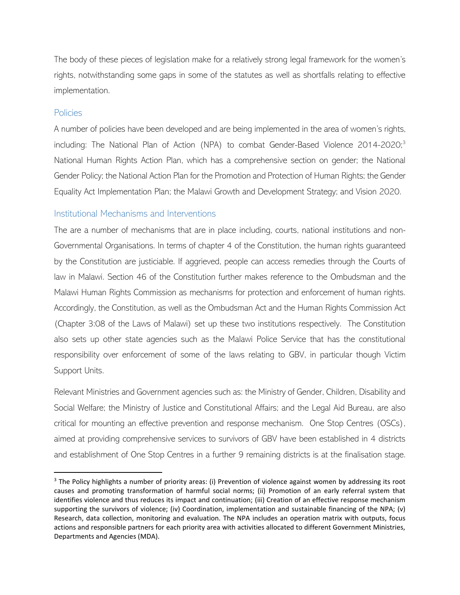The body of these pieces of legislation make for a relatively strong legal framework for the women's rights, notwithstanding some gaps in some of the statutes as well as shortfalls relating to effective implementation.

#### <span id="page-6-0"></span>Policies

 $\overline{a}$ 

A number of policies have been developed and are being implemented in the area of women's rights, including: The National Plan of Action (NPA) to combat Gender-Based Violence 2014-2020;<sup>3</sup> National Human Rights Action Plan, which has a comprehensive section on gender; the National Gender Policy; the National Action Plan for the Promotion and Protection of Human Rights; the Gender Equality Act Implementation Plan; the Malawi Growth and Development Strategy; and Vision 2020.

#### <span id="page-6-1"></span>Institutional Mechanisms and Interventions

The are a number of mechanisms that are in place including, courts, national institutions and non-Governmental Organisations. In terms of chapter 4 of the Constitution, the human rights guaranteed by the Constitution are justiciable. If aggrieved, people can access remedies through the Courts of law in Malawi. Section 46 of the Constitution further makes reference to the Ombudsman and the Malawi Human Rights Commission as mechanisms for protection and enforcement of human rights. Accordingly, the Constitution, as well as the Ombudsman Act and the Human Rights Commission Act (Chapter 3:08 of the Laws of Malawi) set up these two institutions respectively. The Constitution also sets up other state agencies such as the Malawi Police Service that has the constitutional responsibility over enforcement of some of the laws relating to GBV, in particular though Victim Support Units.

Relevant Ministries and Government agencies such as: the Ministry of Gender, Children, Disability and Social Welfare; the Ministry of Justice and Constitutional Affairs; and the Legal Aid Bureau, are also critical for mounting an effective prevention and response mechanism. One Stop Centres (OSCs), aimed at providing comprehensive services to survivors of GBV have been established in 4 districts and establishment of One Stop Centres in a further 9 remaining districts is at the finalisation stage.

<sup>&</sup>lt;sup>3</sup> The Policy highlights a number of priority areas: (i) Prevention of violence against women by addressing its root causes and promoting transformation of harmful social norms; (ii) Promotion of an early referral system that identifies violence and thus reduces its impact and continuation; (iii) Creation of an effective response mechanism supporting the survivors of violence; (iv) Coordination, implementation and sustainable financing of the NPA; (v) Research, data collection, monitoring and evaluation. The NPA includes an operation matrix with outputs, focus actions and responsible partners for each priority area with activities allocated to different Government Ministries, Departments and Agencies (MDA).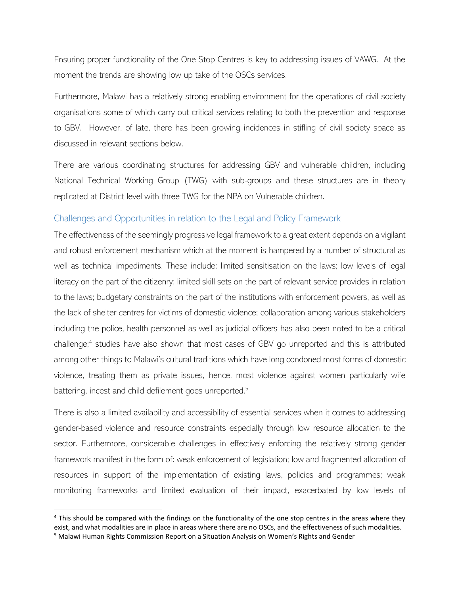Ensuring proper functionality of the One Stop Centres is key to addressing issues of VAWG. At the moment the trends are showing low up take of the OSCs services.

Furthermore, Malawi has a relatively strong enabling environment for the operations of civil society organisations some of which carry out critical services relating to both the prevention and response to GBV. However, of late, there has been growing incidences in stifling of civil society space as discussed in relevant sections below.

There are various coordinating structures for addressing GBV and vulnerable children, including National Technical Working Group (TWG) with sub-groups and these structures are in theory replicated at District level with three TWG for the NPA on Vulnerable children.

#### <span id="page-7-0"></span>Challenges and Opportunities in relation to the Legal and Policy Framework

The effectiveness of the seemingly progressive legal framework to a great extent depends on a vigilant and robust enforcement mechanism which at the moment is hampered by a number of structural as well as technical impediments. These include: limited sensitisation on the laws; low levels of legal literacy on the part of the citizenry; limited skill sets on the part of relevant service provides in relation to the laws; budgetary constraints on the part of the institutions with enforcement powers, as well as the lack of shelter centres for victims of domestic violence; collaboration among various stakeholders including the police, health personnel as well as judicial officers has also been noted to be a critical challenge;<sup>4</sup> studies have also shown that most cases of GBV go unreported and this is attributed among other things to Malawi's cultural traditions which have long condoned most forms of domestic violence, treating them as private issues, hence, most violence against women particularly wife battering, incest and child defilement goes unreported.<sup>5</sup>

There is also a limited availability and accessibility of essential services when it comes to addressing gender-based violence and resource constraints especially through low resource allocation to the sector. Furthermore, considerable challenges in effectively enforcing the relatively strong gender framework manifest in the form of: weak enforcement of legislation; low and fragmented allocation of resources in support of the implementation of existing laws, policies and programmes; weak monitoring frameworks and limited evaluation of their impact, exacerbated by low levels of

<sup>&</sup>lt;sup>4</sup> This should be compared with the findings on the functionality of the one stop centres in the areas where they exist, and what modalities are in place in areas where there are no OSCs, and the effectiveness of such modalities.

<sup>5</sup> Malawi Human Rights Commission Report on a Situation Analysis on Women's Rights and Gender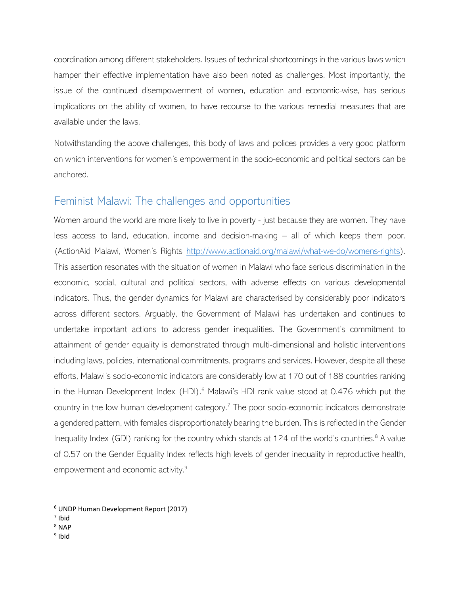coordination among different stakeholders. Issues of technical shortcomings in the various laws which hamper their effective implementation have also been noted as challenges. Most importantly, the issue of the continued disempowerment of women, education and economic-wise, has serious implications on the ability of women, to have recourse to the various remedial measures that are available under the laws.

Notwithstanding the above challenges, this body of laws and polices provides a very good platform on which interventions for women's empowerment in the socio-economic and political sectors can be anchored.

# <span id="page-8-0"></span>Feminist Malawi: The challenges and opportunities

Women around the world are more likely to live in poverty - just because they are women. They have less access to land, education, income and decision-making – all of which keeps them poor. (ActionAid Malawi, Women's Rights http://www.actionaid.org/malawi/what-we-do/womens-rights). This assertion resonates with the situation of women in Malawi who face serious discrimination in the economic, social, cultural and political sectors, with adverse effects on various developmental indicators. Thus, the gender dynamics for Malawi are characterised by considerably poor indicators across different sectors. Arguably, the Government of Malawi has undertaken and continues to undertake important actions to address gender inequalities. The Government's commitment to attainment of gender equality is demonstrated through multi-dimensional and holistic interventions including laws, policies, international commitments, programs and services. However, despite all these efforts, Malawi's socio-economic indicators are considerably low at 170 out of 188 countries ranking in the Human Development Index (HDI).<sup>6</sup> Malawi's HDI rank value stood at 0.476 which put the country in the low human development category.<sup>7</sup> The poor socio-economic indicators demonstrate a gendered pattern, with females disproportionately bearing the burden. This is reflected in the Gender Inequality Index (GDI) ranking for the country which stands at 124 of the world's countries.<sup>8</sup> A value of 0.57 on the Gender Equality Index reflects high levels of gender inequality in reproductive health, empowerment and economic activity.<sup>9</sup>

 $\overline{a}$ 

<sup>9</sup> Ibid

<sup>6</sup> UNDP Human Development Report (2017)

<sup>7</sup> Ibid

<sup>8</sup> NAP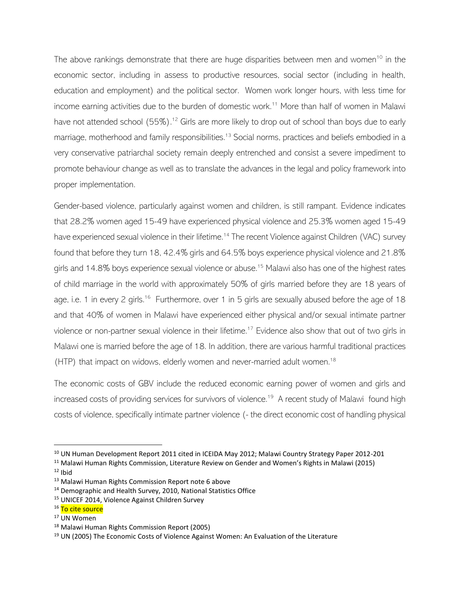The above rankings demonstrate that there are huge disparities between men and women<sup>10</sup> in the economic sector, including in assess to productive resources, social sector (including in health, education and employment) and the political sector. Women work longer hours, with less time for income earning activities due to the burden of domestic work.<sup>11</sup> More than half of women in Malawi have not attended school (55%).<sup>12</sup> Girls are more likely to drop out of school than boys due to early marriage, motherhood and family responsibilities.<sup>13</sup> Social norms, practices and beliefs embodied in a very conservative patriarchal society remain deeply entrenched and consist a severe impediment to promote behaviour change as well as to translate the advances in the legal and policy framework into proper implementation.

Gender-based violence, particularly against women and children, is still rampant. Evidence indicates that 28.2% women aged 15-49 have experienced physical violence and 25.3% women aged 15-49 have experienced sexual violence in their lifetime.<sup>14</sup> The recent Violence against Children (VAC) survey found that before they turn 18, 42.4% girls and 64.5% boys experience physical violence and 21.8% girls and 14.8% boys experience sexual violence or abuse.<sup>15</sup> Malawi also has one of the highest rates of child marriage in the world with approximately 50% of girls married before they are 18 years of age, i.e. 1 in every 2 girls.<sup>16</sup> Furthermore, over 1 in 5 girls are sexually abused before the age of 18 and that 40% of women in Malawi have experienced either physical and/or sexual intimate partner violence or non-partner sexual violence in their lifetime.<sup>17</sup> Evidence also show that out of two girls in Malawi one is married before the age of 18. In addition, there are various harmful traditional practices (HTP) that impact on widows, elderly women and never-married adult women.<sup>18</sup>

The economic costs of GBV include the reduced economic earning power of women and girls and increased costs of providing services for survivors of violence.<sup>19</sup> A recent study of Malawi found high costs of violence, specifically intimate partner violence (- the direct economic cost of handling physical

<sup>10</sup> UN Human Development Report 2011 cited in ICEIDA May 2012; Malawi Country Strategy Paper 2012-201

<sup>&</sup>lt;sup>11</sup> Malawi Human Rights Commission, Literature Review on Gender and Women's Rights in Malawi (2015)

 $12$  Ibid

<sup>13</sup> Malawi Human Rights Commission Report note 6 above

<sup>&</sup>lt;sup>14</sup> Demographic and Health Survey, 2010, National Statistics Office

<sup>15</sup> UNICEF 2014, Violence Against Children Survey

<sup>&</sup>lt;sup>16</sup> To cite source

<sup>17</sup> UN Women

<sup>18</sup> Malawi Human Rights Commission Report (2005)

<sup>&</sup>lt;sup>19</sup> UN (2005) The Economic Costs of Violence Against Women: An Evaluation of the Literature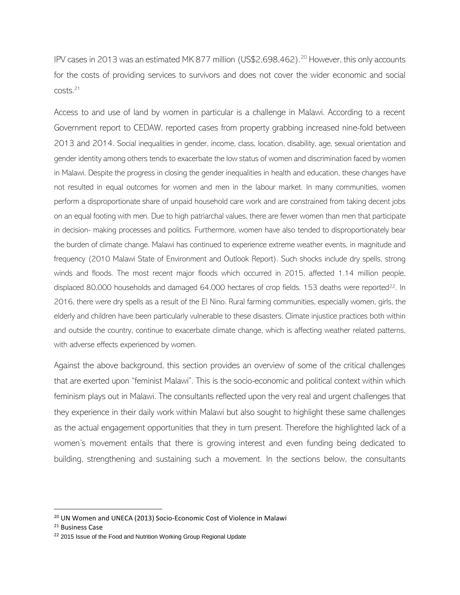IPV cases in 2013 was an estimated MK 877 million (US\$2,698,462).<sup>20</sup> However, this only accounts for the costs of providing services to survivors and does not cover the wider economic and social costs.<sup>21</sup>

Access to and use of land by women in particular is a challenge in Malawi. According to a recent Government report to CEDAW, reported cases from property grabbing increased nine-fold between 2013 and 2014. Social inequalities in gender, income, class, location, disability, age, sexual orientation and gender identity among others tends to exacerbate the low status of women and discrimination faced by women in Malawi. Despite the progress in closing the gender inequalities in health and education, these changes have not resulted in equal outcomes for women and men in the labour market. In many communities, women perform a disproportionate share of unpaid household care work and are constrained from taking decent jobs on an equal footing with men. Due to high patriarchal values, there are fewer women than men that participate in decision- making processes and politics. Furthermore, women have also tended to disproportionately bear the burden of climate change. Malawi has continued to experience extreme weather events, in magnitude and frequency (2010 Malawi State of Environment and Outlook Report). Such shocks include dry spells, strong winds and floods. The most recent major floods which occurred in 2015, affected 1.14 million people, displaced 80,000 households and damaged 64,000 hectares of crop fields. 153 deaths were reported<sup>22</sup>. In 2016, there were dry spells as a result of the El Nino. Rural farming communities, especially women, girls, the elderly and children have been particularly vulnerable to these disasters. Climate injustice practices both within and outside the country, continue to exacerbate climate change, which is affecting weather related patterns, with adverse effects experienced by women.

Against the above background, this section provides an overview of some of the critical challenges that are exerted upon "feminist Malawi". This is the socio-economic and political context within which feminism plays out in Malawi. The consultants reflected upon the very real and urgent challenges that they experience in their daily work within Malawi but also sought to highlight these same challenges as the actual engagement opportunities that they in turn present. Therefore the highlighted lack of a women's movement entails that there is growing interest and even funding being dedicated to building, strengthening and sustaining such a movement. In the sections below, the consultants

<sup>&</sup>lt;sup>20</sup> UN Women and UNECA (2013) Socio-Economic Cost of Violence in Malawi

<sup>&</sup>lt;sup>21</sup> Business Case

<sup>&</sup>lt;sup>22</sup> 2015 Issue of the Food and Nutrition Working Group Regional Update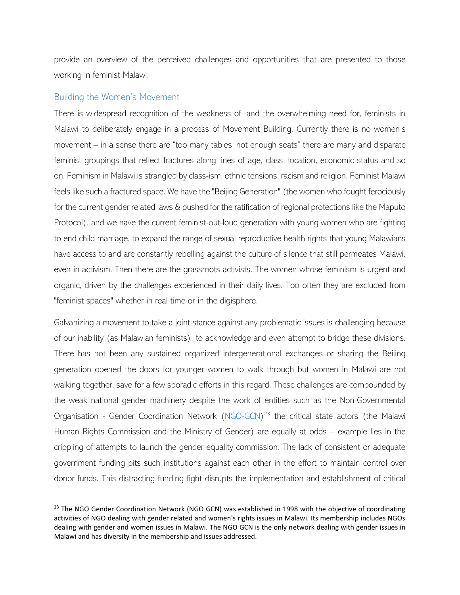provide an overview of the perceived challenges and opportunities that are presented to those working in feminist Malawi.

#### <span id="page-11-0"></span>Building the Women's Movement

 $\overline{a}$ 

There is widespread recognition of the weakness of, and the overwhelming need for, feminists in Malawi to deliberately engage in a process of Movement Building. Currently there is no women's movement – in a sense there are "too many tables, not enough seats" there are many and disparate feminist groupings that reflect fractures along lines of age, class, location, economic status and so on. Feminism in Malawi is strangled by class-ism, ethnic tensions, racism and religion. Feminist Malawi feels like such a fractured space. We have the "Beijing Generation" (the women who fought ferociously for the current gender related laws & pushed for the ratification of regional protections like the Maputo Protocol), and we have the current feminist-out-loud generation with young women who are fighting to end child marriage, to expand the range of sexual reproductive health rights that young Malawians have access to and are constantly rebelling against the culture of silence that still permeates Malawi, even in activism. Then there are the grassroots activists. The women whose feminism is urgent and organic, driven by the challenges experienced in their daily lives. Too often they are excluded from "feminist spaces" whether in real time or in the digisphere.

Galvanizing a movement to take a joint stance against any problematic issues is challenging because of our inability (as Malawian feminists), to acknowledge and even attempt to bridge these divisions. There has not been any sustained organized intergenerational exchanges or sharing the Beijing generation opened the doors for younger women to walk through but women in Malawi are not walking together, save for a few sporadic efforts in this regard. These challenges are compounded by the weak national gender machinery despite the work of entities such as the Non-Governmental Organisation - Gender Coordination Network (NGO-GCN)<sup>23</sup> the critical state actors (the Malawi Human Rights Commission and the Ministry of Gender) are equally at odds – example lies in the crippling of attempts to launch the gender equality commission. The lack of consistent or adequate government funding pits such institutions against each other in the effort to maintain control over donor funds. This distracting funding fight disrupts the implementation and establishment of critical

<sup>&</sup>lt;sup>23</sup> The NGO Gender Coordination Network (NGO GCN) was established in 1998 with the objective of coordinating activities of NGO dealing with gender related and women's rights issues in Malawi. Its membership includes NGOs dealing with gender and women issues in Malawi. The NGO GCN is the only network dealing with gender issues in Malawi and has diversity in the membership and issues addressed.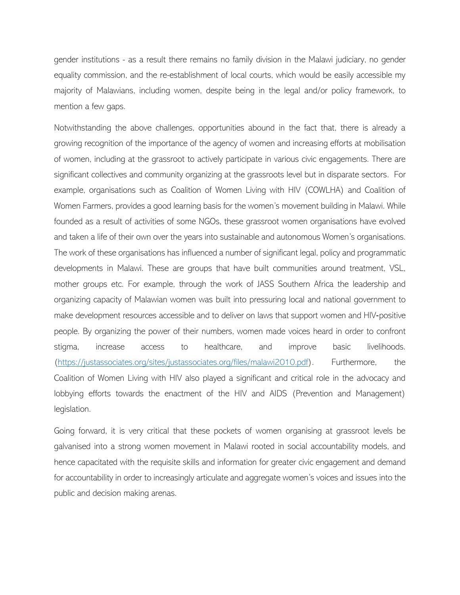gender institutions - as a result there remains no family division in the Malawi judiciary, no gender equality commission, and the re-establishment of local courts, which would be easily accessible my majority of Malawians, including women, despite being in the legal and/or policy framework, to mention a few gaps.

Notwithstanding the above challenges, opportunities abound in the fact that, there is already a growing recognition of the importance of the agency of women and increasing efforts at mobilisation of women, including at the grassroot to actively participate in various civic engagements. There are significant collectives and community organizing at the grassroots level but in disparate sectors. For example, organisations such as Coalition of Women Living with HIV (COWLHA) and Coalition of Women Farmers, provides a good learning basis for the women's movement building in Malawi. While founded as a result of activities of some NGOs, these grassroot women organisations have evolved and taken a life of their own over the years into sustainable and autonomous Women's organisations. The work of these organisations has influenced a number of significant legal, policy and programmatic developments in Malawi. These are groups that have built communities around treatment, VSL, mother groups etc. For example, through the work of JASS Southern Africa the leadership and organizing capacity of Malawian women was built into pressuring local and national government to make development resources accessible and to deliver on laws that support women and HIV-positive people. By organizing the power of their numbers, women made voices heard in order to confront stigma, increase access to healthcare, and improve basic livelihoods. (https://justassociates.org/sites/justassociates.org/files/malawi2010.pdf). Furthermore, the Coalition of Women Living with HIV also played a significant and critical role in the advocacy and lobbying efforts towards the enactment of the HIV and AIDS (Prevention and Management) legislation.

Going forward, it is very critical that these pockets of women organising at grassroot levels be galvanised into a strong women movement in Malawi rooted in social accountability models, and hence capacitated with the requisite skills and information for greater civic engagement and demand for accountability in order to increasingly articulate and aggregate women's voices and issues into the public and decision making arenas.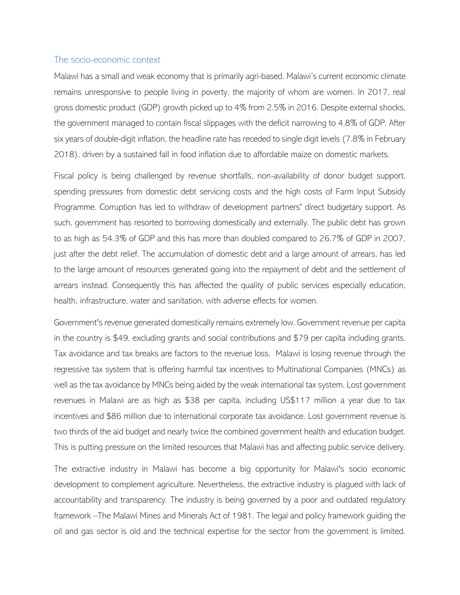#### <span id="page-13-0"></span>The socio-economic context

Malawi has a small and weak economy that is primarily agri-based. Malawi's current economic climate remains unresponsive to people living in poverty, the majority of whom are women. In 2017, real gross domestic product (GDP) growth picked up to 4% from 2.5% in 2016. Despite external shocks, the government managed to contain fiscal slippages with the deficit narrowing to 4.8% of GDP. After six years of double-digit inflation, the headline rate has receded to single digit levels (7.8% in February 2018), driven by a sustained fall in food inflation due to affordable maize on domestic markets.

Fiscal policy is being challenged by revenue shortfalls, non-availability of donor budget support, spending pressures from domestic debt servicing costs and the high costs of Farm Input Subsidy Programme. Corruption has led to withdraw of development partners' direct budgetary support. As such, government has resorted to borrowing domestically and externally. The public debt has grown to as high as 54.3% of GDP and this has more than doubled compared to 26.7% of GDP in 2007, just after the debt relief. The accumulation of domestic debt and a large amount of arrears, has led to the large amount of resources generated going into the repayment of debt and the settlement of arrears instead. Consequently this has affected the quality of public services especially education, health, infrastructure, water and sanitation, with adverse effects for women.

Government's revenue generated domestically remains extremely low. Government revenue per capita in the country is \$49, excluding grants and social contributions and \$79 per capita including grants. Tax avoidance and tax breaks are factors to the revenue loss. Malawi is losing revenue through the regressive tax system that is offering harmful tax incentives to Multinational Companies (MNCs) as well as the tax avoidance by MNCs being aided by the weak international tax system. Lost government revenues in Malawi are as high as \$38 per capita, including US\$117 million a year due to tax incentives and \$86 million due to international corporate tax avoidance. Lost government revenue is two thirds of the aid budget and nearly twice the combined government health and education budget. This is putting pressure on the limited resources that Malawi has and affecting public service delivery.

The extractive industry in Malawi has become a big opportunity for Malawi's socio economic development to complement agriculture. Nevertheless, the extractive industry is plagued with lack of accountability and transparency. The industry is being governed by a poor and outdated regulatory framework –The Malawi Mines and Minerals Act of 1981. The legal and policy framework guiding the oil and gas sector is old and the technical expertise for the sector from the government is limited.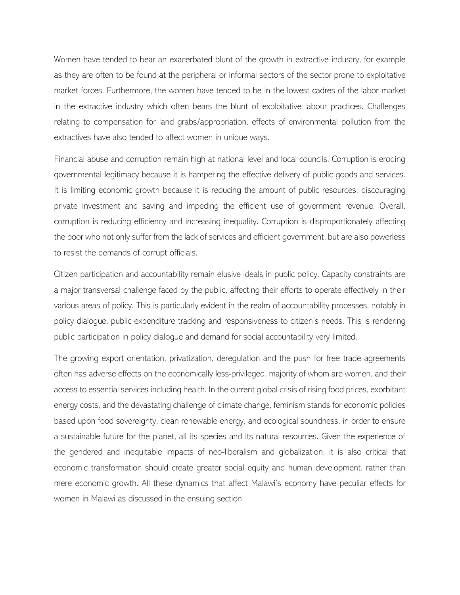Women have tended to bear an exacerbated blunt of the growth in extractive industry, for example as they are often to be found at the peripheral or informal sectors of the sector prone to exploitative market forces. Furthermore, the women have tended to be in the lowest cadres of the labor market in the extractive industry which often bears the blunt of exploitative labour practices. Challenges relating to compensation for land grabs/appropriation, effects of environmental pollution from the extractives have also tended to affect women in unique ways.

Financial abuse and corruption remain high at national level and local councils. Corruption is eroding governmental legitimacy because it is hampering the effective delivery of public goods and services. It is limiting economic growth because it is reducing the amount of public resources, discouraging private investment and saving and impeding the efficient use of government revenue. Overall, corruption is reducing efficiency and increasing inequality. Corruption is disproportionately affecting the poor who not only suffer from the lack of services and efficient government, but are also powerless to resist the demands of corrupt officials.

Citizen participation and accountability remain elusive ideals in public policy. Capacity constraints are a major transversal challenge faced by the public, affecting their efforts to operate effectively in their various areas of policy. This is particularly evident in the realm of accountability processes, notably in policy dialogue, public expenditure tracking and responsiveness to citizen's needs. This is rendering public participation in policy dialogue and demand for social accountability very limited.

The growing export orientation, privatization, deregulation and the push for free trade agreements often has adverse effects on the economically less-privileged, majority of whom are women, and their access to essential services including health. In the current global crisis of rising food prices, exorbitant energy costs, and the devastating challenge of climate change, feminism stands for economic policies based upon food sovereignty, clean renewable energy, and ecological soundness, in order to ensure a sustainable future for the planet, all its species and its natural resources. Given the experience of the gendered and inequitable impacts of neo-liberalism and globalization, it is also critical that economic transformation should create greater social equity and human development, rather than mere economic growth. All these dynamics that affect Malawi's economy have peculiar effects for women in Malawi as discussed in the ensuing section.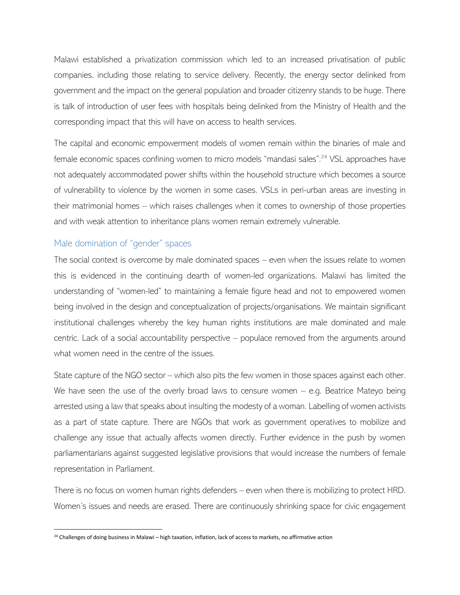Malawi established a privatization commission which led to an increased privatisation of public companies, including those relating to service delivery. Recently, the energy sector delinked from government and the impact on the general population and broader citizenry stands to be huge. There is talk of introduction of user fees with hospitals being delinked from the Ministry of Health and the corresponding impact that this will have on access to health services.

The capital and economic empowerment models of women remain within the binaries of male and female economic spaces confining women to micro models "mandasi sales".<sup>24</sup> VSL approaches have not adequately accommodated power shifts within the household structure which becomes a source of vulnerability to violence by the women in some cases. VSLs in peri-urban areas are investing in their matrimonial homes – which raises challenges when it comes to ownership of those properties and with weak attention to inheritance plans women remain extremely vulnerable.

#### <span id="page-15-0"></span>Male domination of "gender" spaces

 $\overline{a}$ 

The social context is overcome by male dominated spaces – even when the issues relate to women this is evidenced in the continuing dearth of women-led organizations. Malawi has limited the understanding of "women-led" to maintaining a female figure head and not to empowered women being involved in the design and conceptualization of projects/organisations. We maintain significant institutional challenges whereby the key human rights institutions are male dominated and male centric. Lack of a social accountability perspective – populace removed from the arguments around what women need in the centre of the issues.

State capture of the NGO sector – which also pits the few women in those spaces against each other. We have seen the use of the overly broad laws to censure women – e.g. Beatrice Mateyo being arrested using a law that speaks about insulting the modesty of a woman. Labelling of women activists as a part of state capture. There are NGOs that work as government operatives to mobilize and challenge any issue that actually affects women directly. Further evidence in the push by women parliamentarians against suggested legislative provisions that would increase the numbers of female representation in Parliament.

There is no focus on women human rights defenders – even when there is mobilizing to protect HRD. Women's issues and needs are erased. There are continuously shrinking space for civic engagement

<sup>&</sup>lt;sup>24</sup> Challenges of doing business in Malawi – high taxation, inflation, lack of access to markets, no affirmative action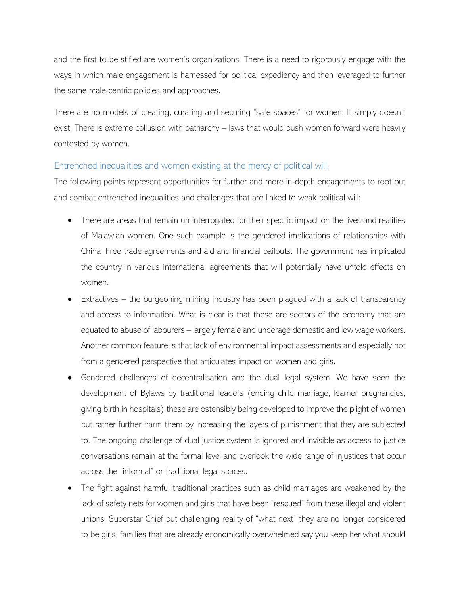and the first to be stifled are women's organizations. There is a need to rigorously engage with the ways in which male engagement is harnessed for political expediency and then leveraged to further the same male-centric policies and approaches.

There are no models of creating, curating and securing "safe spaces" for women. It simply doesn't exist. There is extreme collusion with patriarchy – laws that would push women forward were heavily contested by women.

## <span id="page-16-0"></span>Entrenched inequalities and women existing at the mercy of political will.

The following points represent opportunities for further and more in-depth engagements to root out and combat entrenched inequalities and challenges that are linked to weak political will:

- There are areas that remain un-interrogated for their specific impact on the lives and realities of Malawian women. One such example is the gendered implications of relationships with China, Free trade agreements and aid and financial bailouts. The government has implicated the country in various international agreements that will potentially have untold effects on women.
- $Extractives the burgeoning mining industry has been played with a lack of transparency$ and access to information. What is clear is that these are sectors of the economy that are equated to abuse of labourers – largely female and underage domestic and low wage workers. Another common feature is that lack of environmental impact assessments and especially not from a gendered perspective that articulates impact on women and girls.
- Gendered challenges of decentralisation and the dual legal system. We have seen the development of Bylaws by traditional leaders (ending child marriage, learner pregnancies, giving birth in hospitals) these are ostensibly being developed to improve the plight of women but rather further harm them by increasing the layers of punishment that they are subjected to. The ongoing challenge of dual justice system is ignored and invisible as access to justice conversations remain at the formal level and overlook the wide range of injustices that occur across the "informal" or traditional legal spaces.
- The fight against harmful traditional practices such as child marriages are weakened by the lack of safety nets for women and girls that have been "rescued" from these illegal and violent unions. Superstar Chief but challenging reality of "what next" they are no longer considered to be girls, families that are already economically overwhelmed say you keep her what should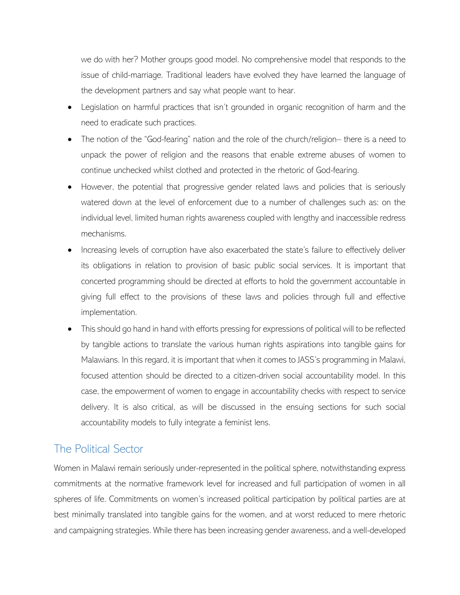we do with her? Mother groups good model. No comprehensive model that responds to the issue of child-marriage. Traditional leaders have evolved they have learned the language of the development partners and say what people want to hear.

- Legislation on harmful practices that isn't grounded in organic recognition of harm and the need to eradicate such practices.
- The notion of the "God-fearing" nation and the role of the church/religion– there is a need to unpack the power of religion and the reasons that enable extreme abuses of women to continue unchecked whilst clothed and protected in the rhetoric of God-fearing.
- However, the potential that progressive gender related laws and policies that is seriously watered down at the level of enforcement due to a number of challenges such as: on the individual level, limited human rights awareness coupled with lengthy and inaccessible redress mechanisms.
- Increasing levels of corruption have also exacerbated the state's failure to effectively deliver its obligations in relation to provision of basic public social services. It is important that concerted programming should be directed at efforts to hold the government accountable in giving full effect to the provisions of these laws and policies through full and effective implementation.
- This should go hand in hand with efforts pressing for expressions of political will to be reflected by tangible actions to translate the various human rights aspirations into tangible gains for Malawians. In this regard, it is important that when it comes to JASS's programming in Malawi, focused attention should be directed to a citizen-driven social accountability model. In this case, the empowerment of women to engage in accountability checks with respect to service delivery. It is also critical, as will be discussed in the ensuing sections for such social accountability models to fully integrate a feminist lens.

# <span id="page-17-0"></span>The Political Sector

Women in Malawi remain seriously under-represented in the political sphere, notwithstanding express commitments at the normative framework level for increased and full participation of women in all spheres of life. Commitments on women's increased political participation by political parties are at best minimally translated into tangible gains for the women, and at worst reduced to mere rhetoric and campaigning strategies. While there has been increasing gender awareness, and a well-developed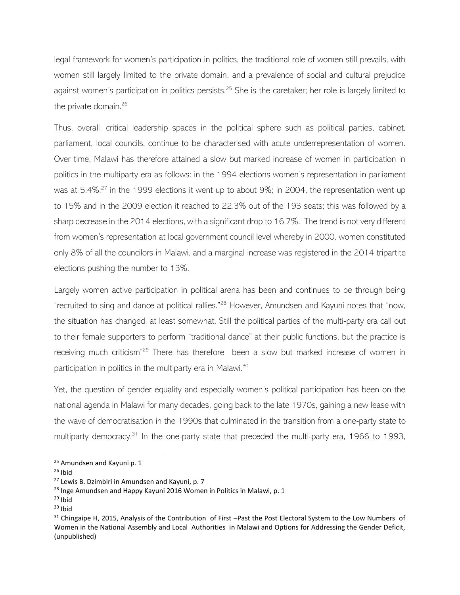legal framework for women's participation in politics, the traditional role of women still prevails, with women still largely limited to the private domain, and a prevalence of social and cultural prejudice against women's participation in politics persists.<sup>25</sup> She is the caretaker; her role is largely limited to the private domain. $26$ 

Thus, overall, critical leadership spaces in the political sphere such as political parties, cabinet, parliament, local councils, continue to be characterised with acute underrepresentation of women. Over time, Malawi has therefore attained a slow but marked increase of women in participation in politics in the multiparty era as follows: in the 1994 elections women's representation in parliament was at  $5.4\%$ ;<sup>27</sup> in the 1999 elections it went up to about 9%; in 2004, the representation went up to 15% and in the 2009 election it reached to 22.3% out of the 193 seats; this was followed by a sharp decrease in the 2014 elections, with a significant drop to 16.7%. The trend is not very different from women's representation at local government council level whereby in 2000, women constituted only 8% of all the councilors in Malawi, and a marginal increase was registered in the 2014 tripartite elections pushing the number to 13%.

Largely women active participation in political arena has been and continues to be through being "recruited to sing and dance at political rallies."<sup>28</sup> However, Amundsen and Kayuni notes that "now, the situation has changed, at least somewhat. Still the political parties of the multi-party era call out to their female supporters to perform "traditional dance" at their public functions, but the practice is receiving much criticism"<sup>29</sup> There has therefore been a slow but marked increase of women in participation in politics in the multiparty era in Malawi.<sup>30</sup>

Yet, the question of gender equality and especially women's political participation has been on the national agenda in Malawi for many decades, going back to the late 1970s, gaining a new lease with the wave of democratisation in the 1990s that culminated in the transition from a one-party state to multiparty democracy.<sup>31</sup> In the one-party state that preceded the multi-party era, 1966 to 1993,

<sup>&</sup>lt;sup>25</sup> Amundsen and Kayuni p. 1

 $26$  Ibid

<sup>&</sup>lt;sup>27</sup> Lewis B. Dzimbiri in Amundsen and Kayuni, p. 7

<sup>&</sup>lt;sup>28</sup> Inge Amundsen and Happy Kayuni 2016 Women in Politics in Malawi, p. 1

 $29$  Ibid

 $30$  Ibid

<sup>&</sup>lt;sup>31</sup> Chingaipe H, 2015, Analysis of the Contribution of First –Past the Post Electoral System to the Low Numbers of Women in the National Assembly and Local Authorities in Malawi and Options for Addressing the Gender Deficit, (unpublished)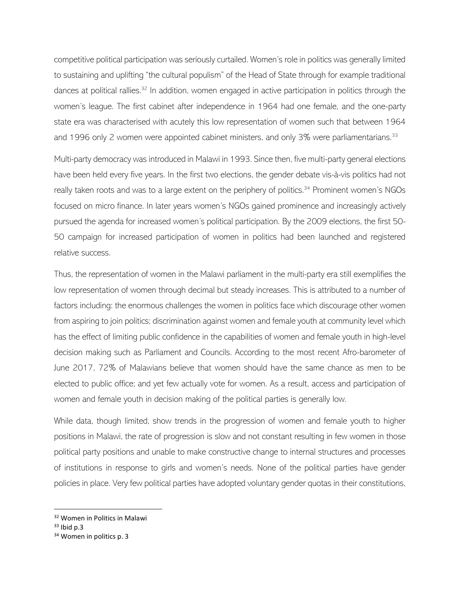competitive political participation was seriously curtailed. Women's role in politics was generally limited to sustaining and uplifting "the cultural populism" of the Head of State through for example traditional dances at political rallies.<sup>32</sup> In addition, women engaged in active participation in politics through the women's league. The first cabinet after independence in 1964 had one female, and the one-party state era was characterised with acutely this low representation of women such that between 1964 and 1996 only 2 women were appointed cabinet ministers, and only 3% were parliamentarians.<sup>33</sup>

Multi-party democracy was introduced in Malawi in 1993. Since then, five multi-party general elections have been held every five years. In the first two elections, the gender debate vis-à-vis politics had not really taken roots and was to a large extent on the periphery of politics.<sup>34</sup> Prominent women's NGOs focused on micro finance. In later years women's NGOs gained prominence and increasingly actively pursued the agenda for increased women's political participation. By the 2009 elections, the first 50- 50 campaign for increased participation of women in politics had been launched and registered relative success.

Thus, the representation of women in the Malawi parliament in the multi-party era still exemplifies the low representation of women through decimal but steady increases. This is attributed to a number of factors including: the enormous challenges the women in politics face which discourage other women from aspiring to join politics; discrimination against women and female youth at community level which has the effect of limiting public confidence in the capabilities of women and female youth in high-level decision making such as Parliament and Councils. According to the most recent Afro-barometer of June 2017, 72% of Malawians believe that women should have the same chance as men to be elected to public office; and yet few actually vote for women. As a result, access and participation of women and female youth in decision making of the political parties is generally low.

While data, though limited, show trends in the progression of women and female youth to higher positions in Malawi, the rate of progression is slow and not constant resulting in few women in those political party positions and unable to make constructive change to internal structures and processes of institutions in response to girls and women's needs. None of the political parties have gender policies in place. Very few political parties have adopted voluntary gender quotas in their constitutions,

<sup>32</sup> Women in Politics in Malawi

 $33$  Ibid p.3

<sup>&</sup>lt;sup>34</sup> Women in politics p. 3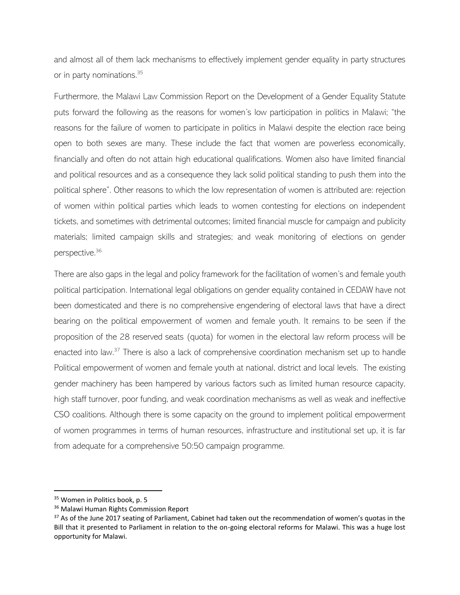and almost all of them lack mechanisms to effectively implement gender equality in party structures or in party nominations.<sup>35</sup>

Furthermore, the Malawi Law Commission Report on the Development of a Gender Equality Statute puts forward the following as the reasons for women's low participation in politics in Malawi; "the reasons for the failure of women to participate in politics in Malawi despite the election race being open to both sexes are many. These include the fact that women are powerless economically, financially and often do not attain high educational qualifications. Women also have limited financial and political resources and as a consequence they lack solid political standing to push them into the political sphere". Other reasons to which the low representation of women is attributed are: rejection of women within political parties which leads to women contesting for elections on independent tickets, and sometimes with detrimental outcomes; limited financial muscle for campaign and publicity materials; limited campaign skills and strategies; and weak monitoring of elections on gender perspective.<sup>36</sup>

There are also gaps in the legal and policy framework for the facilitation of women's and female youth political participation. International legal obligations on gender equality contained in CEDAW have not been domesticated and there is no comprehensive engendering of electoral laws that have a direct bearing on the political empowerment of women and female youth. It remains to be seen if the proposition of the 28 reserved seats (quota) for women in the electoral law reform process will be enacted into law.<sup>37</sup> There is also a lack of comprehensive coordination mechanism set up to handle Political empowerment of women and female youth at national, district and local levels. The existing gender machinery has been hampered by various factors such as limited human resource capacity, high staff turnover, poor funding, and weak coordination mechanisms as well as weak and ineffective CSO coalitions. Although there is some capacity on the ground to implement political empowerment of women programmes in terms of human resources, infrastructure and institutional set up, it is far from adequate for a comprehensive 50:50 campaign programme.

<sup>&</sup>lt;sup>35</sup> Women in Politics book, p. 5

<sup>&</sup>lt;sup>36</sup> Malawi Human Rights Commission Report

<sup>&</sup>lt;sup>37</sup> As of the June 2017 seating of Parliament, Cabinet had taken out the recommendation of women's quotas in the Bill that it presented to Parliament in relation to the on-going electoral reforms for Malawi. This was a huge lost opportunity for Malawi.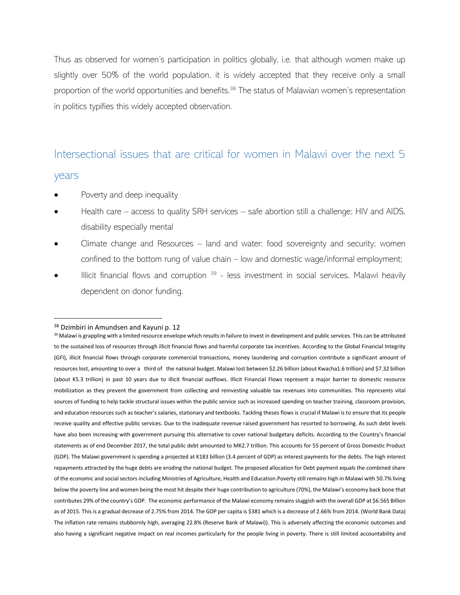Thus as observed for women's participation in politics globally, i.e. that although women make up slightly over 50% of the world population, it is widely accepted that they receive only a small proportion of the world opportunities and benefits.<sup>38</sup> The status of Malawian women's representation in politics typifies this widely accepted observation.

# <span id="page-21-0"></span>Intersectional issues that are critical for women in Malawi over the next 5

#### years

- Poverty and deep inequality
- Health care access to quality SRH services safe abortion still a challenge; HIV and AIDS, disability especially mental
- Climate change and Resources land and water; food sovereignty and security; women confined to the bottom rung of value chain – low and domestic wage/informal employment;
- $\bullet$  Illicit financial flows and corruption  $39$  less investment in social services, Malawi heavily dependent on donor funding.

<sup>38</sup> Dzimbiri in Amundsen and Kayuni p. 12

<sup>39</sup> Malawi is grappling with a limited resource envelope which results in failure to invest in development and public services. This can be attributed to the sustained loss of resources through illicit financial flows and harmful corporate tax incentives. According to the Global Financial Integrity (GFI), illicit financial flows through corporate commercial transactions, money laundering and corruption contribute a significant amount of resources lost, amounting to over a third of the national budget. Malawi lost between \$2.26 billion (about Kwacha1.6 trillion) and \$7.32 billion (about K5.3 trillion) in past 10 years due to illicit financial outflows. Illicit Financial Flows represent a major barrier to domestic resource mobilization as they prevent the government from collecting and reinvesting valuable tax revenues into communities. This represents vital sources of funding to help tackle structural issues within the public service such as increased spending on teacher training, classroom provision, and education resources such as teacher's salaries, stationary and textbooks. Tackling theses flows is crucial if Malawi is to ensure that its people receive quality and effective public services. Due to the inadequate revenue raised government has resorted to borrowing. As such debt levels have also been increasing with government pursuing this alternative to cover national budgetary deficits. According to the Country's financial statements as of end December 2017, the total public debt amounted to MK2.7 trillion. This accounts for 55 percent of Gross Domestic Product (GDP). The Malawi government is spending a projected at K183 billion (3.4 percent of GDP) as interest payments for the debts. The high interest repayments attracted by the huge debts are eroding the national budget. The proposed allocation for Debt payment equals the combined share of the economic and social sectors including Ministries of Agriculture, Health and Education.Poverty still remains high in Malawi with 50.7% living below the poverty line and women being the most hit despite their huge contribution to agriculture (70%), the Malawi's economy back bone that contributes 29% of the country's GDP. The economic performance of the Malawi economy remains sluggish with the overall GDP at \$6.565 Billion as of 2015. This is a gradual decrease of 2.75% from 2014. The GDP per capita is \$381 which is a decrease of 2.66% from 2014. (World Bank Data) The inflation rate remains stubbornly high, averaging 22.8% (Reserve Bank of Malawi)). This is adversely affecting the economic outcomes and also having a significant negative impact on real incomes particularly for the people living in poverty. There is still limited accountability and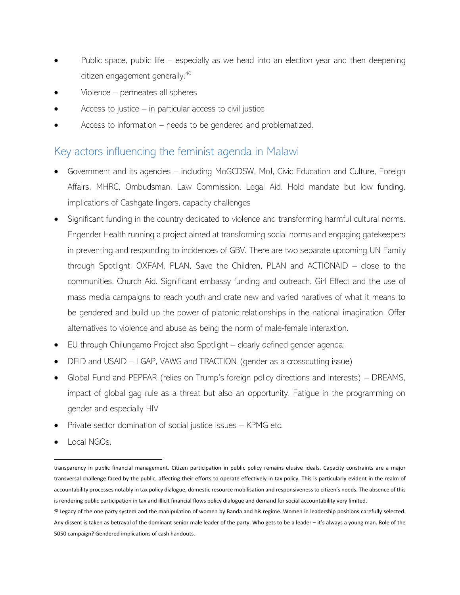- Public space, public life  $-$  especially as we head into an election year and then deepening citizen engagement generally. 40
- Violence permeates all spheres
- Access to justice  $-$  in particular access to civil justice
- Access to information needs to be gendered and problematized.

# <span id="page-22-0"></span>Key actors influencing the feminist agenda in Malawi

- Government and its agencies including MoGCDSW, MoJ, Civic Education and Culture, Foreign Affairs, MHRC, Ombudsman, Law Commission, Legal Aid. Hold mandate but low funding, implications of Cashgate lingers, capacity challenges
- Significant funding in the country dedicated to violence and transforming harmful cultural norms. Engender Health running a project aimed at transforming social norms and engaging gatekeepers in preventing and responding to incidences of GBV. There are two separate upcoming UN Family through Spotlight; OXFAM, PLAN, Save the Children, PLAN and ACTIONAID – close to the communities. Church Aid. Significant embassy funding and outreach. Girl Effect and the use of mass media campaigns to reach youth and crate new and varied naratives of what it means to be gendered and build up the power of platonic relationships in the national imagination. Offer alternatives to violence and abuse as being the norm of male-female interaxtion.
- EU through Chilungamo Project also Spotlight clearly defined gender agenda;
- DFID and USAID LGAP, VAWG and TRACTION (gender as a crosscutting issue)
- Global Fund and PEPFAR (relies on Trump's foreign policy directions and interests) DREAMS, impact of global gag rule as a threat but also an opportunity. Fatigue in the programming on gender and especially HIV
- Private sector domination of social justice issues KPMG etc.
- Local NGOs.

transparency in public financial management. Citizen participation in public policy remains elusive ideals. Capacity constraints are a major transversal challenge faced by the public, affecting their efforts to operate effectively in tax policy. This is particularly evident in the realm of accountability processes notably in tax policy dialogue, domestic resource mobilisation and responsiveness to citizen's needs. The absence of this is rendering public participation in tax and illicit financial flows policy dialogue and demand for social accountability very limited.

<sup>40</sup> Legacy of the one party system and the manipulation of women by Banda and his regime. Women in leadership positions carefully selected. Any dissent is taken as betrayal of the dominant senior male leader of the party. Who gets to be a leader – it's always a young man. Role of the 5050 campaign? Gendered implications of cash handouts.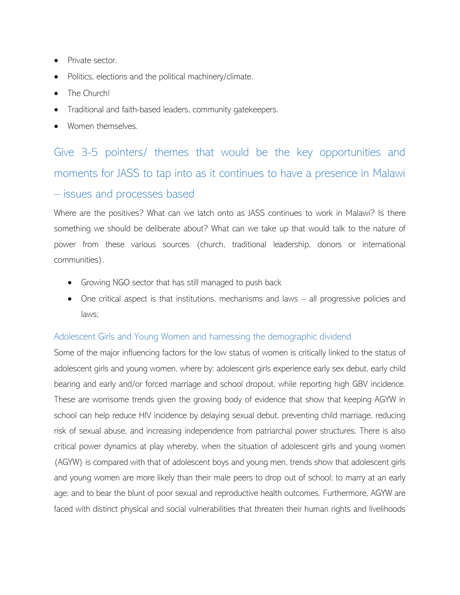- Private sector.
- Politics, elections and the political machinery/climate.
- The Church!
- Traditional and faith-based leaders, community gatekeepers.
- Women themselves.

<span id="page-23-0"></span>Give 3-5 pointers/ themes that would be the key opportunities and moments for JASS to tap into as it continues to have a presence in Malawi

## – issues and processes based

Where are the positives? What can we latch onto as JASS continues to work in Malawi? Is there something we should be deliberate about? What can we take up that would talk to the nature of power from these various sources (church, traditional leadership, donors or international communities).

- Growing NGO sector that has still managed to push back
- One critical aspect is that institutions, mechanisms and laws all progressive policies and laws;

## <span id="page-23-1"></span>Adolescent Girls and Young Women and harnessing the demographic dividend

Some of the major influencing factors for the low status of women is critically linked to the status of adolescent girls and young women, where by: adolescent girls experience early sex debut, early child bearing and early and/or forced marriage and school dropout, while reporting high GBV incidence. These are worrisome trends given the growing body of evidence that show that keeping AGYW in school can help reduce HIV incidence by delaying sexual debut, preventing child marriage, reducing risk of sexual abuse, and increasing independence from patriarchal power structures. There is also critical power dynamics at play whereby, when the situation of adolescent girls and young women (AGYW) is compared with that of adolescent boys and young men, trends show that adolescent girls and young women are more likely than their male peers to drop out of school; to marry at an early age; and to bear the blunt of poor sexual and reproductive health outcomes. Furthermore, AGYW are faced with distinct physical and social vulnerabilities that threaten their human rights and livelihoods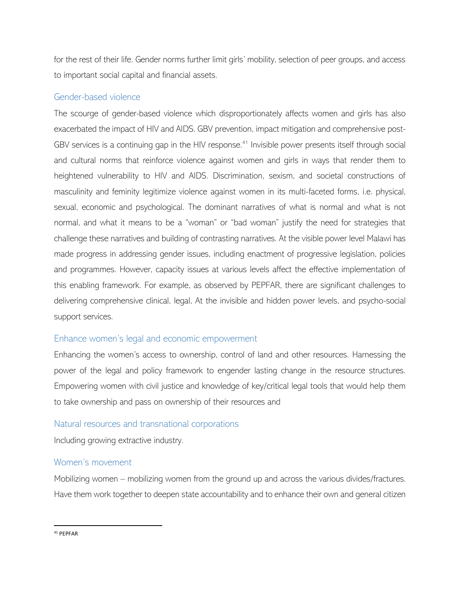for the rest of their life. Gender norms further limit girls' mobility, selection of peer groups, and access to important social capital and financial assets.

#### <span id="page-24-0"></span>Gender-based violence

The scourge of gender-based violence which disproportionately affects women and girls has also exacerbated the impact of HIV and AIDS. GBV prevention, impact mitigation and comprehensive post-GBV services is a continuing gap in the HIV response.<sup>41</sup> Invisible power presents itself through social and cultural norms that reinforce violence against women and girls in ways that render them to heightened vulnerability to HIV and AIDS. Discrimination, sexism, and societal constructions of masculinity and feminity legitimize violence against women in its multi-faceted forms, i.e. physical, sexual, economic and psychological. The dominant narratives of what is normal and what is not normal, and what it means to be a "woman" or "bad woman" justify the need for strategies that challenge these narratives and building of contrasting narratives. At the visible power level Malawi has made progress in addressing gender issues, including enactment of progressive legislation, policies and programmes. However, capacity issues at various levels affect the effective implementation of this enabling framework. For example, as observed by PEPFAR, there are significant challenges to delivering comprehensive clinical, legal, At the invisible and hidden power levels, and psycho-social support services.

#### <span id="page-24-1"></span>Enhance women's legal and economic empowerment

Enhancing the women's access to ownership, control of land and other resources. Harnessing the power of the legal and policy framework to engender lasting change in the resource structures. Empowering women with civil justice and knowledge of key/critical legal tools that would help them to take ownership and pass on ownership of their resources and

#### <span id="page-24-2"></span>Natural resources and transnational corporations

Including growing extractive industry.

#### <span id="page-24-3"></span>Women's movement

Mobilizing women – mobilizing women from the ground up and across the various divides/fractures. Have them work together to deepen state accountability and to enhance their own and general citizen

<sup>41</sup> PEPFAR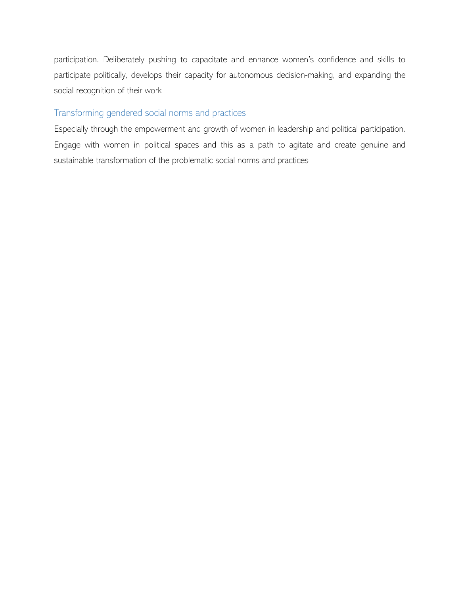participation. Deliberately pushing to capacitate and enhance women's confidence and skills to participate politically, develops their capacity for autonomous decision-making, and expanding the social recognition of their work

#### <span id="page-25-0"></span>Transforming gendered social norms and practices

Especially through the empowerment and growth of women in leadership and political participation. Engage with women in political spaces and this as a path to agitate and create genuine and sustainable transformation of the problematic social norms and practices